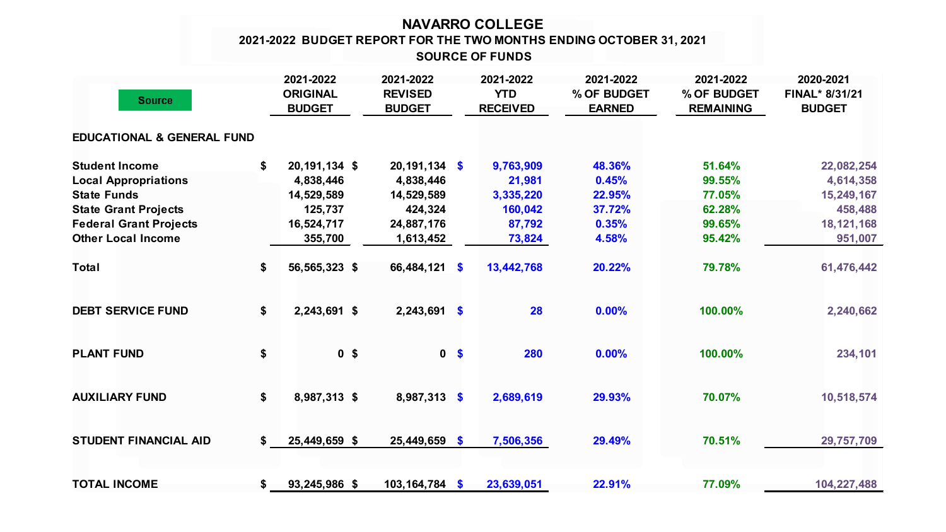## **NAVARRO COLLEGE SOURCE OF FUNDS 2021-2022 BUDGET REPORT FOR THE TWO MONTHS ENDING OCTOBER 31, 2021**

| <b>Source</b>                         |    | 2021-2022<br><b>ORIGINAL</b><br><b>BUDGET</b> | 2021-2022<br><b>REVISED</b><br><b>BUDGET</b> |                           | 2021-2022<br><b>YTD</b><br><b>RECEIVED</b> | 2021-2022<br>% OF BUDGET<br><b>EARNED</b> | 2021-2022<br>% OF BUDGET<br><b>REMAINING</b> | 2020-2021<br>FINAL* 8/31/21<br><b>BUDGET</b> |
|---------------------------------------|----|-----------------------------------------------|----------------------------------------------|---------------------------|--------------------------------------------|-------------------------------------------|----------------------------------------------|----------------------------------------------|
| <b>EDUCATIONAL &amp; GENERAL FUND</b> |    |                                               |                                              |                           |                                            |                                           |                                              |                                              |
| <b>Student Income</b>                 | \$ | 20, 191, 134 \$                               | $20,191,134$ \$                              |                           | 9,763,909                                  | 48.36%                                    | 51.64%                                       | 22,082,254                                   |
| <b>Local Appropriations</b>           |    | 4,838,446                                     | 4,838,446                                    |                           | 21,981                                     | 0.45%                                     | 99.55%                                       | 4,614,358                                    |
| <b>State Funds</b>                    |    | 14,529,589                                    | 14,529,589                                   |                           | 3,335,220                                  | 22.95%                                    | 77.05%                                       | 15,249,167                                   |
| <b>State Grant Projects</b>           |    | 125,737                                       | 424,324                                      |                           | 160,042                                    | 37.72%                                    | 62.28%                                       | 458,488                                      |
| <b>Federal Grant Projects</b>         |    | 16,524,717                                    | 24,887,176                                   |                           | 87,792                                     | 0.35%                                     | 99.65%                                       | 18, 121, 168                                 |
| <b>Other Local Income</b>             |    | 355,700                                       | 1,613,452                                    |                           | 73,824                                     | 4.58%                                     | 95.42%                                       | 951,007                                      |
| <b>Total</b>                          | \$ | 56,565,323 \$                                 | 66,484,121 \$                                |                           | 13,442,768                                 | 20.22%                                    | 79.78%                                       | 61,476,442                                   |
| <b>DEBT SERVICE FUND</b>              | \$ | 2,243,691 \$                                  | $2,243,691$ \$                               |                           | 28                                         | 0.00%                                     | 100.00%                                      | 2,240,662                                    |
| <b>PLANT FUND</b>                     | \$ | 0 <sup>5</sup>                                |                                              | 0 <sup>5</sup>            | 280                                        | 0.00%                                     | 100.00%                                      | 234,101                                      |
| <b>AUXILIARY FUND</b>                 | \$ | 8,987,313 \$                                  | 8,987,313                                    | $\boldsymbol{\mathsf{s}}$ | 2,689,619                                  | 29.93%                                    | 70.07%                                       | 10,518,574                                   |
| <b>STUDENT FINANCIAL AID</b>          | S. | 25,449,659 \$                                 | $25,449,659$ \$                              |                           | 7,506,356                                  | 29.49%                                    | 70.51%                                       | 29,757,709                                   |
| <b>TOTAL INCOME</b>                   | \$ | 93,245,986 \$                                 | 103,164,784 \$                               |                           | 23,639,051                                 | 22.91%                                    | 77.09%                                       | 104,227,488                                  |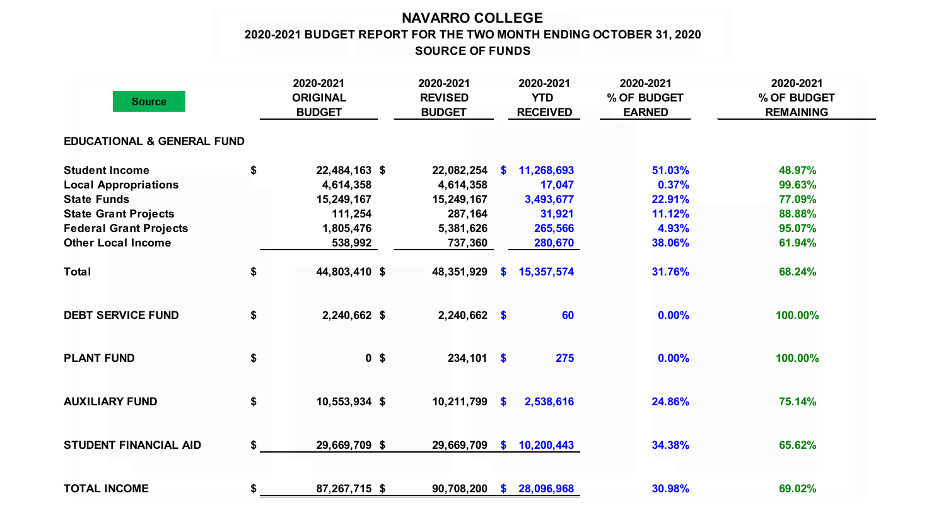## **NAVARRO COLLEGE 2020-2021 BUDGET REPORT FOR THE TWO MONTH ENDING OCTOBER 31, 2020 SOURCE OF FUNDS**

| <b>Source</b>                         |    | 2020-2021<br><b>ORIGINAL</b><br><b>BUDGET</b> | 2020-2021<br><b>REVISED</b><br><b>BUDGET</b> |           | 2020-2021<br><b>YTD</b><br><b>RECEIVED</b> | 2020-2021<br>% OF BUDGET<br><b>EARNED</b> | 2020-2021<br>% OF BUDGET<br><b>REMAINING</b> |  |
|---------------------------------------|----|-----------------------------------------------|----------------------------------------------|-----------|--------------------------------------------|-------------------------------------------|----------------------------------------------|--|
| <b>EDUCATIONAL &amp; GENERAL FUND</b> |    |                                               |                                              |           |                                            |                                           |                                              |  |
| <b>Student Income</b>                 | \$ | 22,484,163 \$                                 | 22,082,254                                   | <b>S</b>  | 11,268,693                                 | 51.03%                                    | 48.97%                                       |  |
| <b>Local Appropriations</b>           |    | 4,614,358                                     | 4,614,358                                    |           | 17,047                                     | 0.37%                                     | 99.63%                                       |  |
| <b>State Funds</b>                    |    | 15,249,167                                    | 15,249,167                                   |           | 3,493,677                                  | 22.91%                                    | 77.09%                                       |  |
| <b>State Grant Projects</b>           |    | 111,254                                       | 287,164                                      |           | 31,921                                     | 11.12%                                    | 88.88%                                       |  |
| <b>Federal Grant Projects</b>         |    | 1,805,476                                     | 5,381,626                                    |           | 265,566                                    | 4.93%                                     | 95.07%                                       |  |
| <b>Other Local Income</b>             |    | 538,992                                       | 737,360                                      |           | 280,670                                    | 38.06%                                    | 61.94%                                       |  |
| <b>Total</b>                          | \$ | 44,803,410 \$                                 | 48,351,929                                   | <b>S</b>  | 15,357,574                                 | 31.76%                                    | 68.24%                                       |  |
| <b>DEBT SERVICE FUND</b>              | \$ | 2,240,662 \$                                  | $2,240,662$ \$                               |           | 60                                         | 0.00%                                     | 100.00%                                      |  |
| <b>PLANT FUND</b>                     | \$ | 0 <sup>5</sup>                                | $234,101$ \$                                 |           | 275                                        | 0.00%                                     | 100.00%                                      |  |
| <b>AUXILIARY FUND</b>                 | \$ | 10,553,934 \$                                 | 10,211,799                                   | $\bullet$ | 2,538,616                                  | 24.86%                                    | 75.14%                                       |  |
| <b>STUDENT FINANCIAL AID</b>          | \$ | 29,669,709 \$                                 | 29,669,709                                   | <b>S</b>  | 10,200,443                                 | 34.38%                                    | 65.62%                                       |  |
| <b>TOTAL INCOME</b>                   | \$ | 87,267,715 \$                                 | 90,708,200                                   | <b>S</b>  | 28,096,968                                 | 30.98%                                    | 69.02%                                       |  |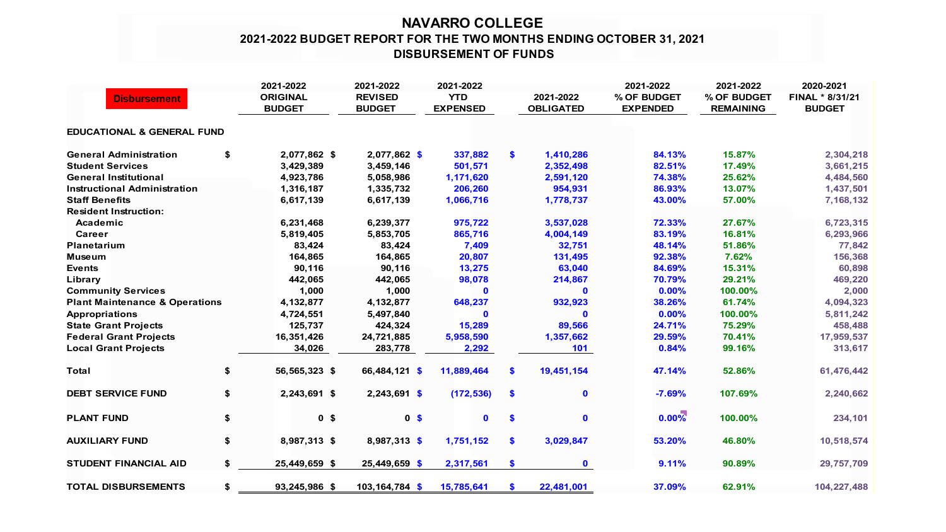## **NAVARRO COLLEGE 2021-2022 BUDGET REPORT FOR THE TWO MONTHS ENDING OCTOBER 31, 2021 DISBURSEMENT OF FUNDS**

|                                           |    | 2021-2022       | 2021-2022      | 2021-2022       |               |                  | 2021-2022       | 2021-2022                       | 2020-2021                        |  |  |  |
|-------------------------------------------|----|-----------------|----------------|-----------------|---------------|------------------|-----------------|---------------------------------|----------------------------------|--|--|--|
| <b>Disbursement</b>                       |    | <b>ORIGINAL</b> | <b>REVISED</b> | <b>YTD</b>      |               | 2021-2022        | % OF BUDGET     | % OF BUDGET<br><b>REMAINING</b> | FINAL * 8/31/21<br><b>BUDGET</b> |  |  |  |
|                                           |    | <b>BUDGET</b>   | <b>BUDGET</b>  | <b>EXPENSED</b> |               | <b>OBLIGATED</b> | <b>EXPENDED</b> |                                 |                                  |  |  |  |
| <b>EDUCATIONAL &amp; GENERAL FUND</b>     |    |                 |                |                 |               |                  |                 |                                 |                                  |  |  |  |
| <b>General Administration</b>             | \$ | 2,077,862 \$    | 2,077,862 \$   | 337,882         | \$            | 1,410,286        | 84.13%          | 15.87%                          | 2,304,218                        |  |  |  |
| <b>Student Services</b>                   |    | 3,429,389       | 3,459,146      | 501,571         |               | 2,352,498        | 82.51%          | 17.49%                          | 3,661,215                        |  |  |  |
| <b>General Institutional</b>              |    | 4,923,786       | 5,058,986      | 1,171,620       |               | 2,591,120        | 74.38%          | 25.62%                          | 4,484,560                        |  |  |  |
| <b>Instructional Administration</b>       |    | 1,316,187       | 1,335,732      | 206,260         |               | 954,931          | 86.93%          | 13.07%                          | 1,437,501                        |  |  |  |
| <b>Staff Benefits</b>                     |    | 6,617,139       | 6,617,139      | 1,066,716       |               | 1,778,737        | 43.00%          | 57.00%                          | 7,168,132                        |  |  |  |
| <b>Resident Instruction:</b>              |    |                 |                |                 |               |                  |                 |                                 |                                  |  |  |  |
| Academic                                  |    | 6,231,468       | 6,239,377      | 975,722         |               | 3,537,028        | 72.33%          | 27.67%                          | 6,723,315                        |  |  |  |
| Career                                    |    | 5,819,405       | 5,853,705      | 865,716         |               | 4,004,149        | 83.19%          | 16.81%                          | 6,293,966                        |  |  |  |
| <b>Planetarium</b>                        |    | 83,424          | 83,424         | 7,409           |               | 32,751           | 48.14%          | 51.86%                          | 77,842                           |  |  |  |
| Museum                                    |    | 164,865         | 164,865        | 20,807          |               | 131,495          | 92.38%          | 7.62%                           | 156,368                          |  |  |  |
| <b>Events</b>                             |    | 90,116          | 90,116         | 13,275          |               | 63,040           | 84.69%          | 15.31%                          | 60,898                           |  |  |  |
| Library                                   |    | 442,065         | 442,065        | 98,078          |               | 214,867          | 70.79%          | 29.21%                          | 469,220                          |  |  |  |
| <b>Community Services</b>                 |    | 1,000           | 1,000          | 0               |               | $\mathbf{0}$     | 0.00%           | 100.00%                         | 2,000                            |  |  |  |
| <b>Plant Maintenance &amp; Operations</b> |    | 4,132,877       | 4,132,877      | 648,237         |               | 932,923          | 38.26%          | 61.74%                          | 4,094,323                        |  |  |  |
| <b>Appropriations</b>                     |    | 4,724,551       | 5,497,840      | $\mathbf{0}$    |               | $\mathbf{0}$     | 0.00%           | 100.00%                         | 5,811,242                        |  |  |  |
| <b>State Grant Projects</b>               |    | 125,737         | 424,324        | 15,289          |               | 89,566           | 24.71%          | 75.29%                          | 458,488                          |  |  |  |
| <b>Federal Grant Projects</b>             |    | 16,351,426      | 24,721,885     | 5,958,590       |               | 1,357,662        | 29.59%          | 70.41%                          | 17,959,537                       |  |  |  |
| <b>Local Grant Projects</b>               |    | 34,026          | 283,778        | 2,292           |               | 101              | 0.84%           | 99.16%                          | 313,617                          |  |  |  |
| <b>Total</b>                              | \$ | 56,565,323 \$   | 66,484,121 \$  | 11,889,464      | \$            | 19,451,154       | 47.14%          | 52.86%                          | 61,476,442                       |  |  |  |
| <b>DEBT SERVICE FUND</b>                  | \$ | 2,243,691 \$    | 2,243,691 \$   | (172, 536)      | $\frac{2}{3}$ | $\mathbf 0$      | $-7.69%$        | 107.69%                         | 2,240,662                        |  |  |  |
| <b>PLANT FUND</b>                         | \$ | 0 <sup>5</sup>  | 0 <sup>5</sup> | $\mathbf 0$     | \$            | $\mathbf 0$      | $0.00\%$        | 100.00%                         | 234,101                          |  |  |  |
| <b>AUXILIARY FUND</b>                     | \$ | 8,987,313 \$    | 8,987,313 \$   | 1,751,152       | \$            | 3,029,847        | 53.20%          | 46.80%                          | 10,518,574                       |  |  |  |
| <b>STUDENT FINANCIAL AID</b>              | \$ | 25,449,659 \$   | 25,449,659 \$  | 2,317,561       | \$            | $\mathbf 0$      | 9.11%           | 90.89%                          | 29,757,709                       |  |  |  |
| <b>TOTAL DISBURSEMENTS</b>                | \$ | 93,245,986 \$   | 103,164,784 \$ | 15,785,641      | \$.           | 22,481,001       | 37.09%          | 62.91%                          | 104,227,488                      |  |  |  |